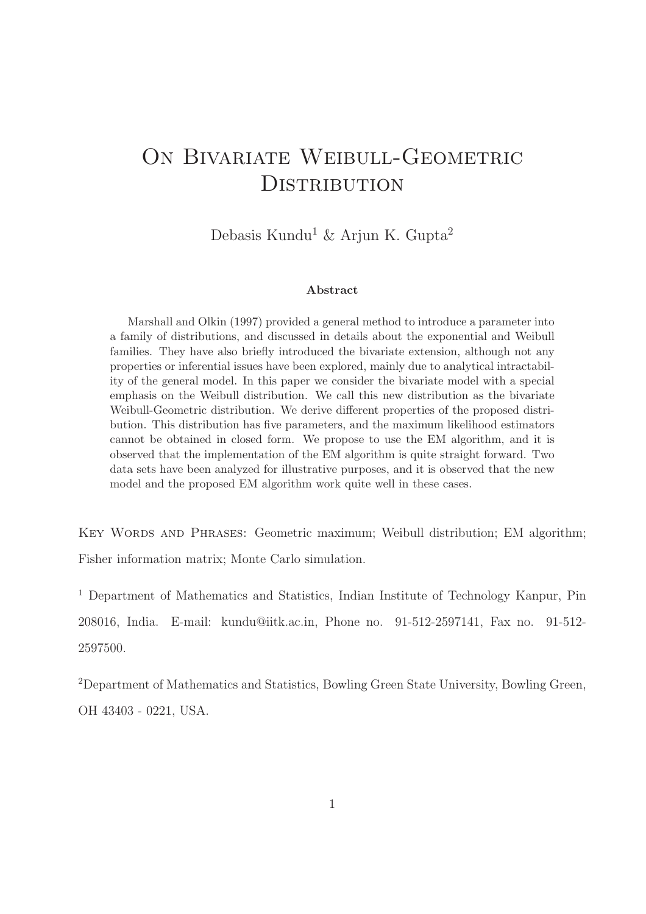# ON BIVARIATE WEIBULL-GEOMETRIC DISTRIBUTION

Debasis Kundu<sup>1</sup> & Arjun K. Gupta<sup>2</sup>

#### Abstract

Marshall and Olkin (1997) provided a general method to introduce a parameter into a family of distributions, and discussed in details about the exponential and Weibull families. They have also briefly introduced the bivariate extension, although not any properties or inferential issues have been explored, mainly due to analytical intractability of the general model. In this paper we consider the bivariate model with a special emphasis on the Weibull distribution. We call this new distribution as the bivariate Weibull-Geometric distribution. We derive different properties of the proposed distribution. This distribution has five parameters, and the maximum likelihood estimators cannot be obtained in closed form. We propose to use the EM algorithm, and it is observed that the implementation of the EM algorithm is quite straight forward. Two data sets have been analyzed for illustrative purposes, and it is observed that the new model and the proposed EM algorithm work quite well in these cases.

Key Words and Phrases: Geometric maximum; Weibull distribution; EM algorithm; Fisher information matrix; Monte Carlo simulation.

<sup>1</sup> Department of Mathematics and Statistics, Indian Institute of Technology Kanpur, Pin 208016, India. E-mail: kundu@iitk.ac.in, Phone no. 91-512-2597141, Fax no. 91-512- 2597500.

<sup>2</sup>Department of Mathematics and Statistics, Bowling Green State University, Bowling Green, OH 43403 - 0221, USA.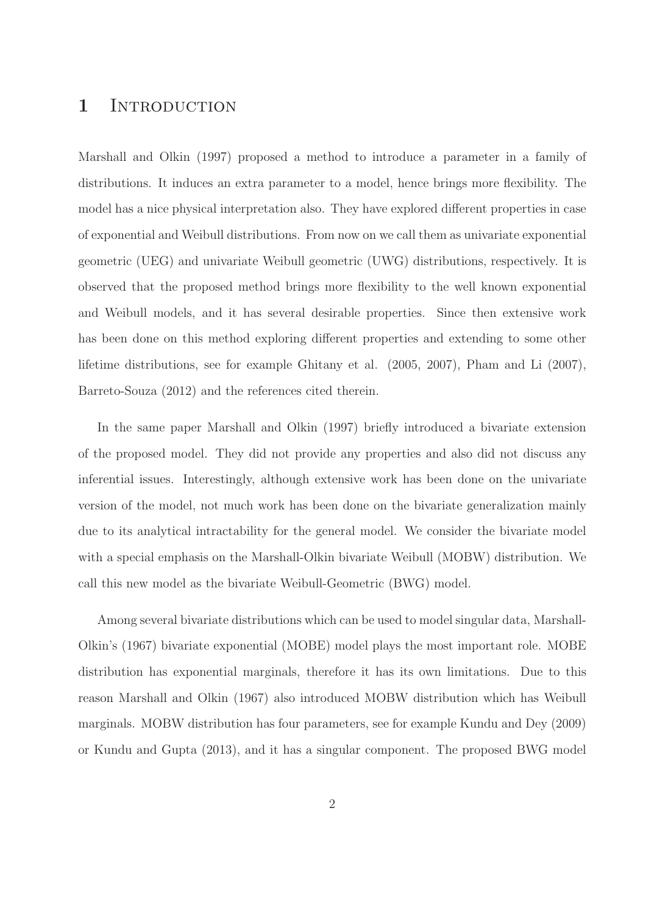### 1 INTRODUCTION

Marshall and Olkin (1997) proposed a method to introduce a parameter in a family of distributions. It induces an extra parameter to a model, hence brings more flexibility. The model has a nice physical interpretation also. They have explored different properties in case of exponential and Weibull distributions. From now on we call them as univariate exponential geometric (UEG) and univariate Weibull geometric (UWG) distributions, respectively. It is observed that the proposed method brings more flexibility to the well known exponential and Weibull models, and it has several desirable properties. Since then extensive work has been done on this method exploring different properties and extending to some other lifetime distributions, see for example Ghitany et al. (2005, 2007), Pham and Li (2007), Barreto-Souza (2012) and the references cited therein.

In the same paper Marshall and Olkin (1997) briefly introduced a bivariate extension of the proposed model. They did not provide any properties and also did not discuss any inferential issues. Interestingly, although extensive work has been done on the univariate version of the model, not much work has been done on the bivariate generalization mainly due to its analytical intractability for the general model. We consider the bivariate model with a special emphasis on the Marshall-Olkin bivariate Weibull (MOBW) distribution. We call this new model as the bivariate Weibull-Geometric (BWG) model.

Among several bivariate distributions which can be used to model singular data, Marshall-Olkin's (1967) bivariate exponential (MOBE) model plays the most important role. MOBE distribution has exponential marginals, therefore it has its own limitations. Due to this reason Marshall and Olkin (1967) also introduced MOBW distribution which has Weibull marginals. MOBW distribution has four parameters, see for example Kundu and Dey (2009) or Kundu and Gupta (2013), and it has a singular component. The proposed BWG model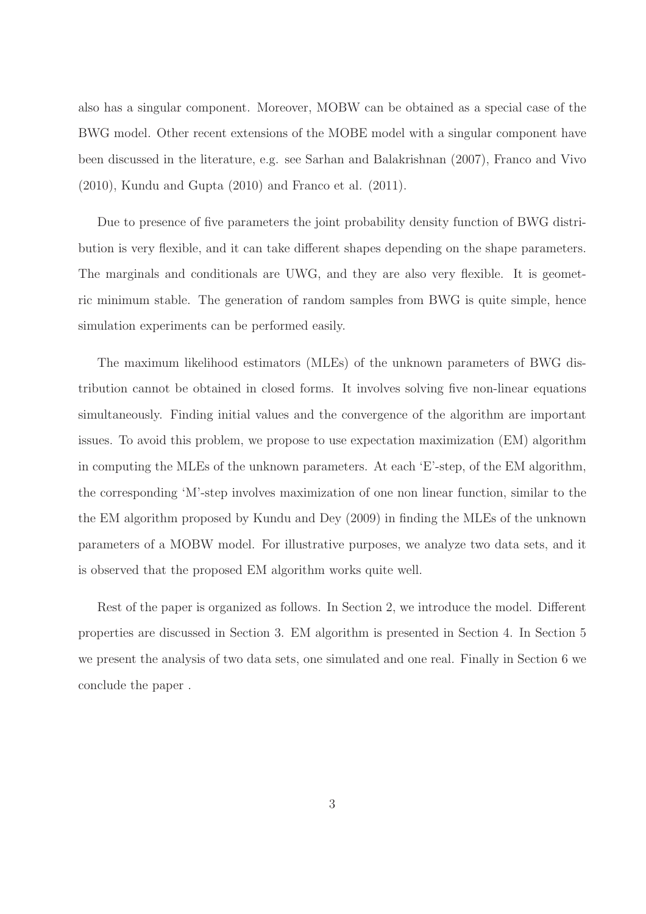also has a singular component. Moreover, MOBW can be obtained as a special case of the BWG model. Other recent extensions of the MOBE model with a singular component have been discussed in the literature, e.g. see Sarhan and Balakrishnan (2007), Franco and Vivo (2010), Kundu and Gupta (2010) and Franco et al. (2011).

Due to presence of five parameters the joint probability density function of BWG distribution is very flexible, and it can take different shapes depending on the shape parameters. The marginals and conditionals are UWG, and they are also very flexible. It is geometric minimum stable. The generation of random samples from BWG is quite simple, hence simulation experiments can be performed easily.

The maximum likelihood estimators (MLEs) of the unknown parameters of BWG distribution cannot be obtained in closed forms. It involves solving five non-linear equations simultaneously. Finding initial values and the convergence of the algorithm are important issues. To avoid this problem, we propose to use expectation maximization (EM) algorithm in computing the MLEs of the unknown parameters. At each 'E'-step, of the EM algorithm, the corresponding 'M'-step involves maximization of one non linear function, similar to the the EM algorithm proposed by Kundu and Dey (2009) in finding the MLEs of the unknown parameters of a MOBW model. For illustrative purposes, we analyze two data sets, and it is observed that the proposed EM algorithm works quite well.

Rest of the paper is organized as follows. In Section 2, we introduce the model. Different properties are discussed in Section 3. EM algorithm is presented in Section 4. In Section 5 we present the analysis of two data sets, one simulated and one real. Finally in Section 6 we conclude the paper .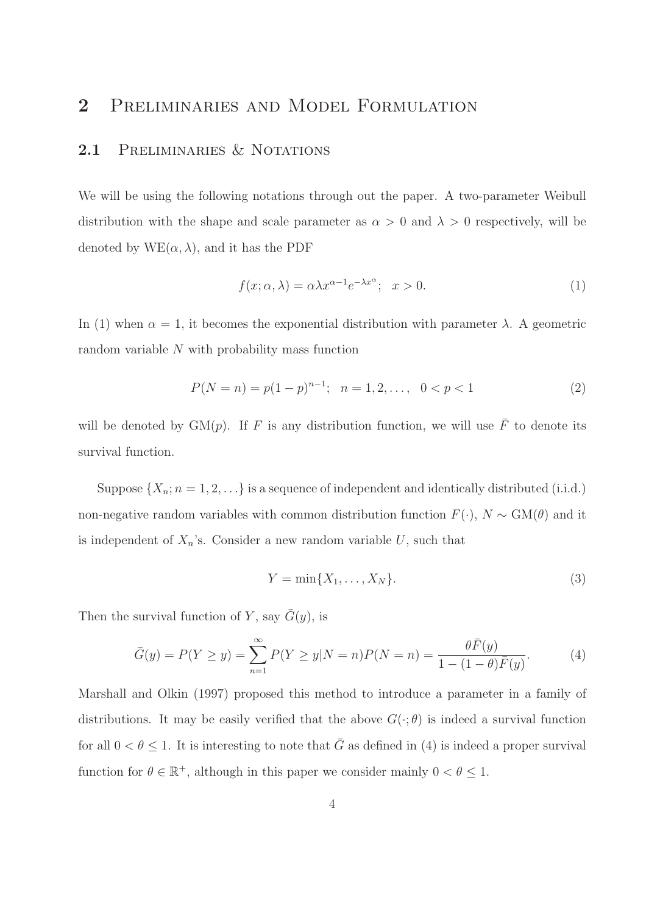### 2 Preliminaries and Model Formulation

#### 2.1 PRELIMINARIES & NOTATIONS

We will be using the following notations through out the paper. A two-parameter Weibull distribution with the shape and scale parameter as  $\alpha > 0$  and  $\lambda > 0$  respectively, will be denoted by  $WE(\alpha, \lambda)$ , and it has the PDF

$$
f(x; \alpha, \lambda) = \alpha \lambda x^{\alpha - 1} e^{-\lambda x^{\alpha}}; \quad x > 0.
$$
 (1)

In (1) when  $\alpha = 1$ , it becomes the exponential distribution with parameter  $\lambda$ . A geometric random variable  $N$  with probability mass function

$$
P(N = n) = p(1 - p)^{n-1}; \quad n = 1, 2, \dots, \quad 0 < p < 1 \tag{2}
$$

will be denoted by  $GM(p)$ . If F is any distribution function, we will use  $\overline{F}$  to denote its survival function.

Suppose  $\{X_n; n = 1, 2, \ldots\}$  is a sequence of independent and identically distributed (i.i.d.) non-negative random variables with common distribution function  $F(\cdot)$ ,  $N \sim GM(\theta)$  and it is independent of  $X_n$ 's. Consider a new random variable  $U$ , such that

$$
Y = \min\{X_1, \dots, X_N\}.\tag{3}
$$

Then the survival function of Y, say  $\overline{G}(y)$ , is

$$
\bar{G}(y) = P(Y \ge y) = \sum_{n=1}^{\infty} P(Y \ge y | N = n) P(N = n) = \frac{\theta \bar{F}(y)}{1 - (1 - \theta)\bar{F}(y)}.
$$
(4)

Marshall and Olkin (1997) proposed this method to introduce a parameter in a family of distributions. It may be easily verified that the above  $G(\cdot;\theta)$  is indeed a survival function for all  $0 < \theta \leq 1$ . It is interesting to note that  $\overline{G}$  as defined in (4) is indeed a proper survival function for  $\theta \in \mathbb{R}^+$ , although in this paper we consider mainly  $0 < \theta \leq 1$ .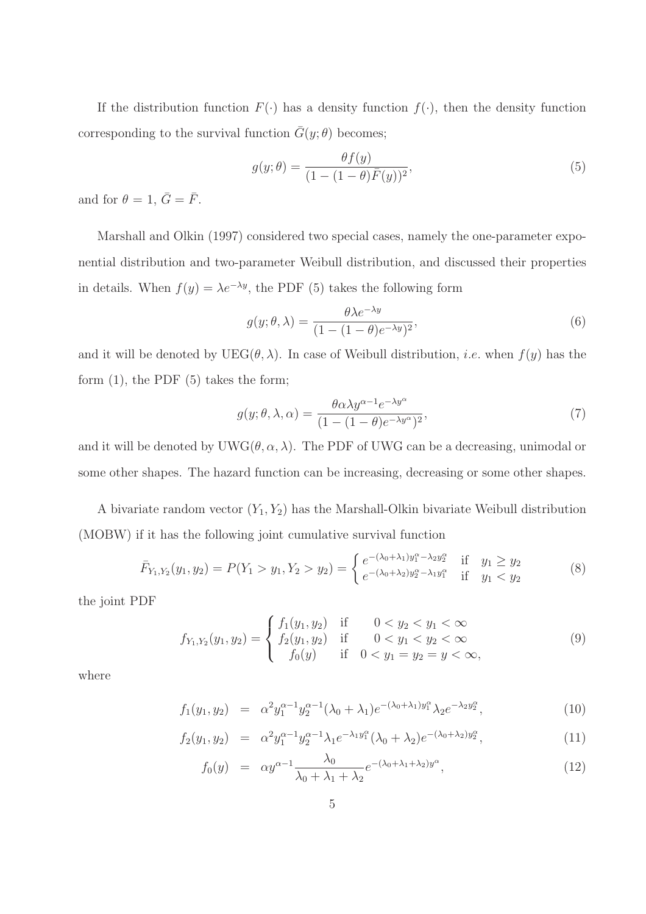If the distribution function  $F(\cdot)$  has a density function  $f(\cdot)$ , then the density function corresponding to the survival function  $\bar{G}(y; \theta)$  becomes;

$$
g(y; \theta) = \frac{\theta f(y)}{(1 - (1 - \theta)\overline{F}(y))^2},\tag{5}
$$

and for  $\theta = 1, \bar{G} = \bar{F}$ .

Marshall and Olkin (1997) considered two special cases, namely the one-parameter exponential distribution and two-parameter Weibull distribution, and discussed their properties in details. When  $f(y) = \lambda e^{-\lambda y}$ , the PDF (5) takes the following form

$$
g(y; \theta, \lambda) = \frac{\theta \lambda e^{-\lambda y}}{(1 - (1 - \theta)e^{-\lambda y})^2},
$$
\n(6)

and it will be denoted by  $UEG(\theta, \lambda)$ . In case of Weibull distribution, *i.e.* when  $f(y)$  has the form  $(1)$ , the PDF  $(5)$  takes the form;

$$
g(y; \theta, \lambda, \alpha) = \frac{\theta \alpha \lambda y^{\alpha - 1} e^{-\lambda y^{\alpha}}}{(1 - (1 - \theta)e^{-\lambda y^{\alpha}})^2},
$$
\n<sup>(7)</sup>

and it will be denoted by  $UWG(\theta, \alpha, \lambda)$ . The PDF of UWG can be a decreasing, unimodal or some other shapes. The hazard function can be increasing, decreasing or some other shapes.

A bivariate random vector  $(Y_1, Y_2)$  has the Marshall-Olkin bivariate Weibull distribution (MOBW) if it has the following joint cumulative survival function

$$
\bar{F}_{Y_1,Y_2}(y_1,y_2) = P(Y_1 > y_1, Y_2 > y_2) = \begin{cases} e^{-(\lambda_0 + \lambda_1)y_1^{\alpha} - \lambda_2 y_2^{\alpha}} & \text{if } y_1 \ge y_2\\ e^{-(\lambda_0 + \lambda_2)y_2^{\alpha} - \lambda_1 y_1^{\alpha}} & \text{if } y_1 < y_2 \end{cases}
$$
 (8)

the joint PDF

$$
f_{Y_1,Y_2}(y_1, y_2) = \begin{cases} f_1(y_1, y_2) & \text{if } 0 < y_2 < y_1 < \infty \\ f_2(y_1, y_2) & \text{if } 0 < y_1 < y_2 < \infty \\ f_0(y) & \text{if } 0 < y_1 = y_2 = y < \infty, \end{cases}
$$
 (9)

where

$$
f_1(y_1, y_2) = \alpha^2 y_1^{\alpha - 1} y_2^{\alpha - 1} (\lambda_0 + \lambda_1) e^{-(\lambda_0 + \lambda_1) y_1^{\alpha}} \lambda_2 e^{-\lambda_2 y_2^{\alpha}}, \tag{10}
$$

$$
f_2(y_1, y_2) = \alpha^2 y_1^{\alpha - 1} y_2^{\alpha - 1} \lambda_1 e^{-\lambda_1 y_1^{\alpha}} (\lambda_0 + \lambda_2) e^{-(\lambda_0 + \lambda_2) y_2^{\alpha}}, \tag{11}
$$

$$
f_0(y) = \alpha y^{\alpha - 1} \frac{\lambda_0}{\lambda_0 + \lambda_1 + \lambda_2} e^{-(\lambda_0 + \lambda_1 + \lambda_2)y^{\alpha}}, \qquad (12)
$$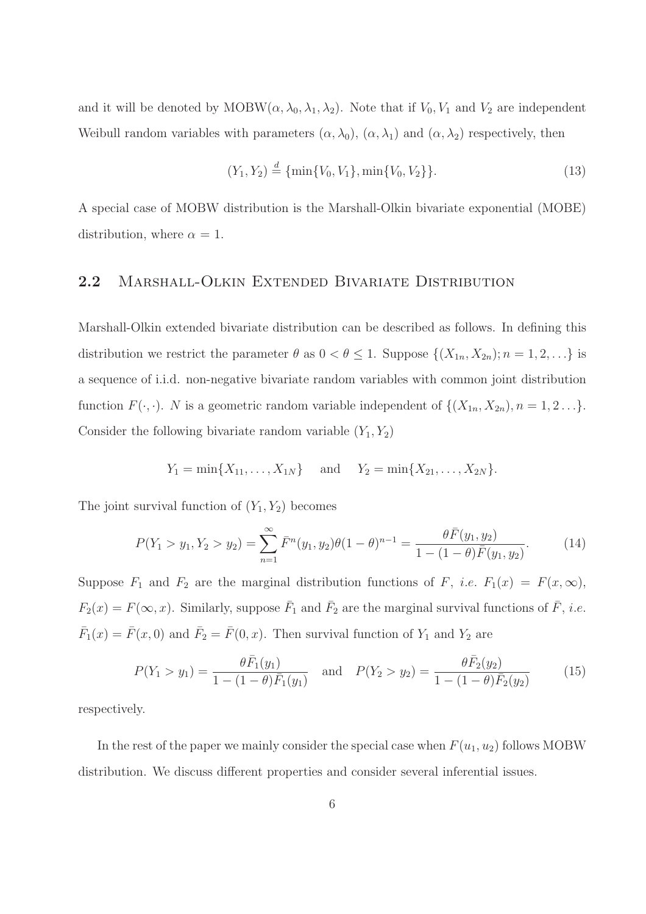and it will be denoted by  $MOBW(\alpha, \lambda_0, \lambda_1, \lambda_2)$ . Note that if  $V_0, V_1$  and  $V_2$  are independent Weibull random variables with parameters  $(\alpha, \lambda_0)$ ,  $(\alpha, \lambda_1)$  and  $(\alpha, \lambda_2)$  respectively, then

$$
(Y_1, Y_2) \stackrel{d}{=} \{\min\{V_0, V_1\}, \min\{V_0, V_2\}\}.
$$
\n(13)

A special case of MOBW distribution is the Marshall-Olkin bivariate exponential (MOBE) distribution, where  $\alpha = 1$ .

#### 2.2 MARSHALL-OLKIN EXTENDED BIVARIATE DISTRIBUTION

Marshall-Olkin extended bivariate distribution can be described as follows. In defining this distribution we restrict the parameter  $\theta$  as  $0 < \theta \leq 1$ . Suppose  $\{(X_{1n}, X_{2n}); n = 1, 2, \ldots\}$  is a sequence of i.i.d. non-negative bivariate random variables with common joint distribution function  $F(\cdot, \cdot)$ . N is a geometric random variable independent of  $\{(X_{1n}, X_{2n}), n = 1, 2 \ldots\}$ . Consider the following bivariate random variable  $(Y_1, Y_2)$ 

$$
Y_1 = \min\{X_{11}, \ldots, X_{1N}\}\
$$
 and  $Y_2 = \min\{X_{21}, \ldots, X_{2N}\}.$ 

The joint survival function of  $(Y_1, Y_2)$  becomes

$$
P(Y_1 > y_1, Y_2 > y_2) = \sum_{n=1}^{\infty} \bar{F}^n(y_1, y_2)\theta(1-\theta)^{n-1} = \frac{\theta \bar{F}(y_1, y_2)}{1 - (1-\theta)\bar{F}(y_1, y_2)}.
$$
(14)

Suppose  $F_1$  and  $F_2$  are the marginal distribution functions of  $F$ , *i.e.*  $F_1(x) = F(x, \infty)$ ,  $F_2(x) = F(\infty, x)$ . Similarly, suppose  $\bar{F}_1$  and  $\bar{F}_2$  are the marginal survival functions of  $\bar{F}$ , *i.e.*  $\bar{F}_1(x) = \bar{F}(x,0)$  and  $\bar{F}_2 = \bar{F}(0,x)$ . Then survival function of  $Y_1$  and  $Y_2$  are

$$
P(Y_1 > y_1) = \frac{\theta \bar{F}_1(y_1)}{1 - (1 - \theta)\bar{F}_1(y_1)} \quad \text{and} \quad P(Y_2 > y_2) = \frac{\theta \bar{F}_2(y_2)}{1 - (1 - \theta)\bar{F}_2(y_2)} \tag{15}
$$

respectively.

In the rest of the paper we mainly consider the special case when  $F(u_1, u_2)$  follows MOBW distribution. We discuss different properties and consider several inferential issues.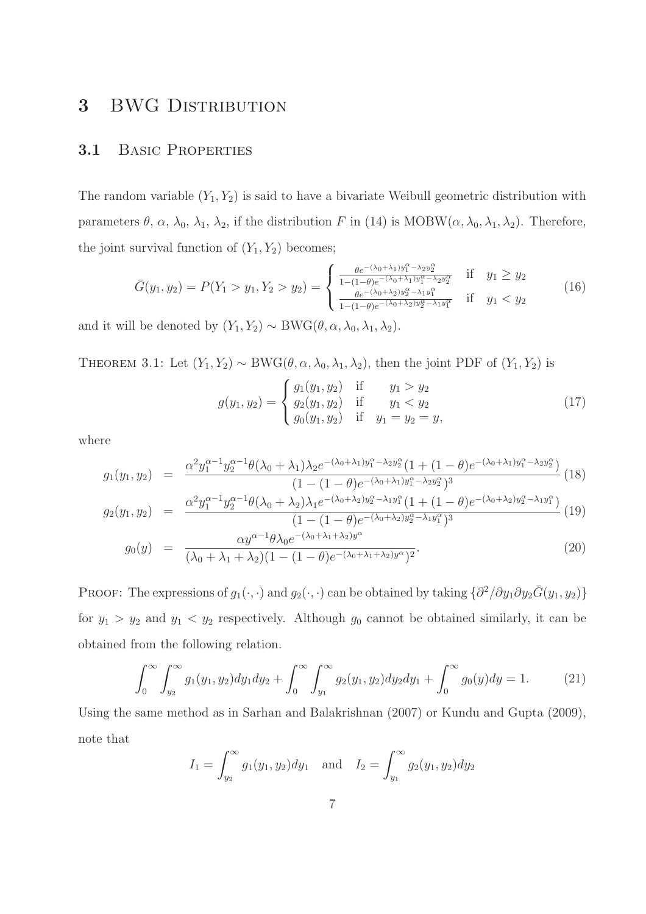### 3 BWG DISTRIBUTION

#### 3.1 Basic Properties

The random variable  $(Y_1, Y_2)$  is said to have a bivariate Weibull geometric distribution with parameters  $\theta$ ,  $\alpha$ ,  $\lambda_0$ ,  $\lambda_1$ ,  $\lambda_2$ , if the distribution F in (14) is MOBW( $\alpha$ ,  $\lambda_0$ ,  $\lambda_1$ ,  $\lambda_2$ ). Therefore, the joint survival function of  $(Y_1, Y_2)$  becomes;

$$
\bar{G}(y_1, y_2) = P(Y_1 > y_1, Y_2 > y_2) = \begin{cases} \frac{\theta e^{-(\lambda_0 + \lambda_1)y_1^{\alpha} - \lambda_2 y_2^{\alpha}}}{1 - (1 - \theta)e^{-(\lambda_0 + \lambda_1)y_1^{\alpha} - \lambda_2 y_2^{\alpha}}}\n\text{ if } y_1 \geq y_2\\ \frac{\theta e^{-(\lambda_0 + \lambda_2)y_2^{\alpha} - \lambda_1 y_1^{\alpha}}}{1 - (1 - \theta)e^{-(\lambda_0 + \lambda_2)y_2^{\alpha} - \lambda_1 y_1^{\alpha}}}\n\text{ if } y_1 < y_2 \n\end{cases} \tag{16}
$$

and it will be denoted by  $(Y_1, Y_2) \sim BWG(\theta, \alpha, \lambda_0, \lambda_1, \lambda_2)$ .

THEOREM 3.1: Let  $(Y_1, Y_2) \sim BWG(\theta, \alpha, \lambda_0, \lambda_1, \lambda_2)$ , then the joint PDF of  $(Y_1, Y_2)$  is

$$
g(y_1, y_2) = \begin{cases} g_1(y_1, y_2) & \text{if } y_1 > y_2 \\ g_2(y_1, y_2) & \text{if } y_1 < y_2 \\ g_0(y_1, y_2) & \text{if } y_1 = y_2 = y, \end{cases}
$$
 (17)

where

$$
g_1(y_1, y_2) = \frac{\alpha^2 y_1^{\alpha - 1} y_2^{\alpha - 1} \theta(\lambda_0 + \lambda_1) \lambda_2 e^{-(\lambda_0 + \lambda_1) y_1^{\alpha} - \lambda_2 y_2^{\alpha}} (1 + (1 - \theta) e^{-(\lambda_0 + \lambda_1) y_1^{\alpha} - \lambda_2 y_2^{\alpha}})}{(1 - (1 - \theta) e^{-(\lambda_0 + \lambda_1) y_1^{\alpha} - \lambda_2 y_2^{\alpha}})^3}
$$
(18)

$$
g_2(y_1, y_2) = \frac{\alpha^2 y_1^{\alpha - 1} y_2^{\alpha - 1} \theta(\lambda_0 + \lambda_2) \lambda_1 e^{-(\lambda_0 + \lambda_2) y_2^{\alpha} - \lambda_1 y_1^{\alpha}} (1 + (1 - \theta) e^{-(\lambda_0 + \lambda_2) y_2^{\alpha} - \lambda_1 y_1^{\alpha}})}{(1 - (1 - \theta) e^{-(\lambda_0 + \lambda_2) y_2^{\alpha} - \lambda_1 y_1^{\alpha}})^3} (19)
$$

$$
g_0(y) = \frac{\alpha y^{\alpha - 1} \theta \lambda_0 e^{-(\lambda_0 + \lambda_1 + \lambda_2) y^{\alpha}}}{(\lambda_0 + \lambda_1 + \lambda_2)(1 - (1 - \theta) e^{-(\lambda_0 + \lambda_1 + \lambda_2) y^{\alpha}})^2}.
$$
\n(20)

PROOF: The expressions of  $g_1(\cdot,\cdot)$  and  $g_2(\cdot,\cdot)$  can be obtained by taking  $\{\partial^2/\partial y_1 \partial y_2 \bar{G}(y_1, y_2)\}$ for  $y_1 > y_2$  and  $y_1 < y_2$  respectively. Although  $g_0$  cannot be obtained similarly, it can be obtained from the following relation.

$$
\int_0^\infty \int_{y_2}^\infty g_1(y_1, y_2) dy_1 dy_2 + \int_0^\infty \int_{y_1}^\infty g_2(y_1, y_2) dy_2 dy_1 + \int_0^\infty g_0(y) dy = 1.
$$
 (21)

Using the same method as in Sarhan and Balakrishnan (2007) or Kundu and Gupta (2009), note that

$$
I_1 = \int_{y_2}^{\infty} g_1(y_1, y_2) dy_1 \text{ and } I_2 = \int_{y_1}^{\infty} g_2(y_1, y_2) dy_2
$$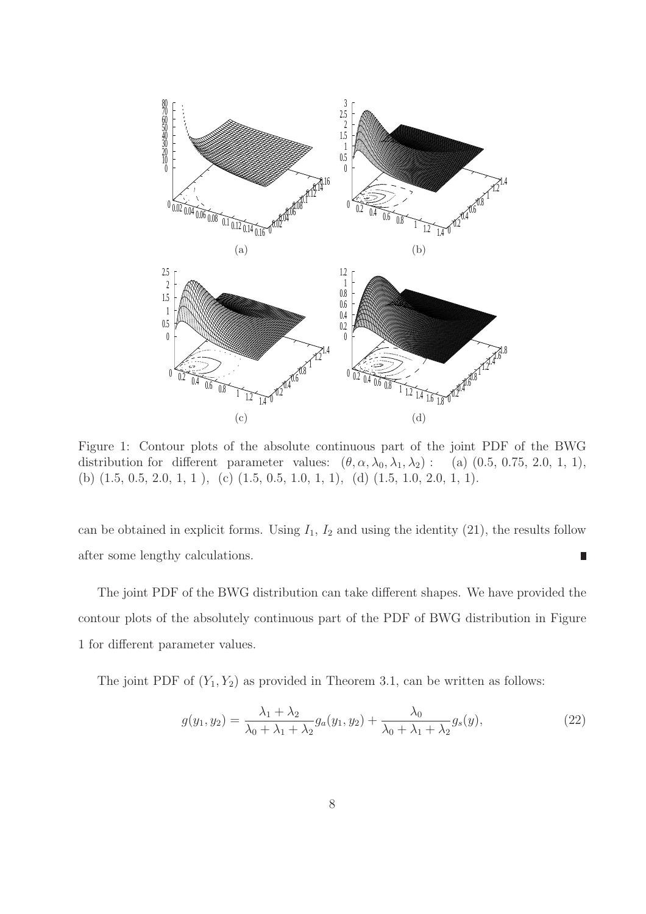

Figure 1: Contour plots of the absolute continuous part of the joint PDF of the BWG distribution for different parameter values:  $(\theta, \alpha, \lambda_0, \lambda_1, \lambda_2)$ : (a)  $(0.5, 0.75, 2.0, 1, 1)$ , (b)  $(1.5, 0.5, 2.0, 1, 1)$ , (c)  $(1.5, 0.5, 1.0, 1, 1)$ , (d)  $(1.5, 1.0, 2.0, 1, 1)$ .

can be obtained in explicit forms. Using  $I_1$ ,  $I_2$  and using the identity (21), the results follow after some lengthy calculations. П

The joint PDF of the BWG distribution can take different shapes. We have provided the contour plots of the absolutely continuous part of the PDF of BWG distribution in Figure 1 for different parameter values.

The joint PDF of  $(Y_1, Y_2)$  as provided in Theorem 3.1, can be written as follows:

$$
g(y_1, y_2) = \frac{\lambda_1 + \lambda_2}{\lambda_0 + \lambda_1 + \lambda_2} g_a(y_1, y_2) + \frac{\lambda_0}{\lambda_0 + \lambda_1 + \lambda_2} g_s(y),
$$
\n(22)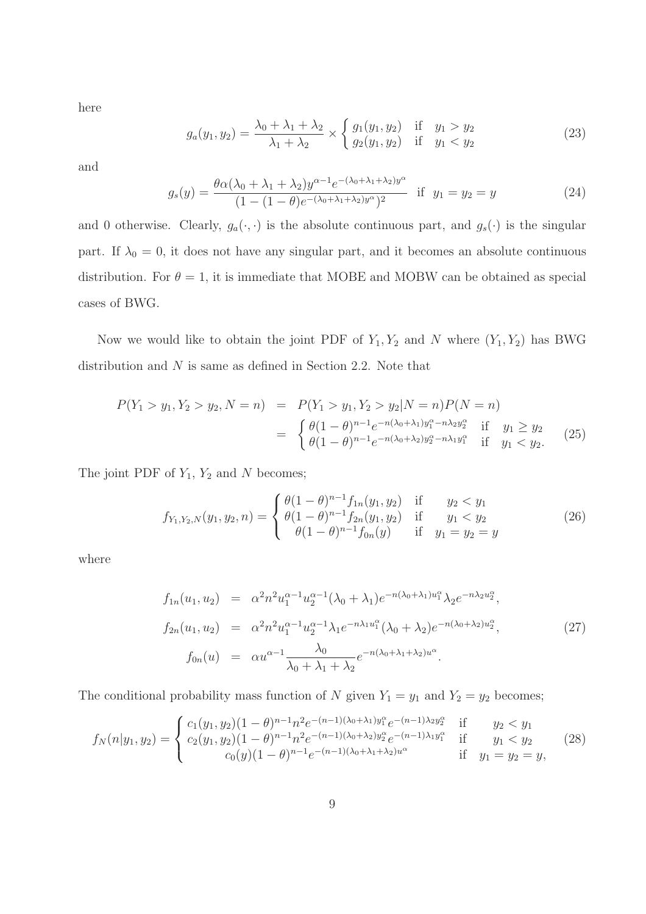here

$$
g_a(y_1, y_2) = \frac{\lambda_0 + \lambda_1 + \lambda_2}{\lambda_1 + \lambda_2} \times \begin{cases} g_1(y_1, y_2) & \text{if } y_1 > y_2 \\ g_2(y_1, y_2) & \text{if } y_1 < y_2 \end{cases}
$$
 (23)

and

$$
g_s(y) = \frac{\theta \alpha (\lambda_0 + \lambda_1 + \lambda_2) y^{\alpha - 1} e^{-(\lambda_0 + \lambda_1 + \lambda_2) y^{\alpha}}}{(1 - (1 - \theta) e^{-(\lambda_0 + \lambda_1 + \lambda_2) y^{\alpha}})^2} \text{ if } y_1 = y_2 = y \tag{24}
$$

and 0 otherwise. Clearly,  $g_a(\cdot, \cdot)$  is the absolute continuous part, and  $g_s(\cdot)$  is the singular part. If  $\lambda_0 = 0$ , it does not have any singular part, and it becomes an absolute continuous distribution. For  $\theta = 1$ , it is immediate that MOBE and MOBW can be obtained as special cases of BWG.

Now we would like to obtain the joint PDF of  $Y_1, Y_2$  and N where  $(Y_1, Y_2)$  has BWG distribution and  $N$  is same as defined in Section 2.2. Note that

$$
P(Y_1 > y_1, Y_2 > y_2, N = n) = P(Y_1 > y_1, Y_2 > y_2 | N = n) P(N = n)
$$
  
= 
$$
\begin{cases} \theta(1 - \theta)^{n-1} e^{-n(\lambda_0 + \lambda_1) y_1^{\alpha} - n \lambda_2 y_2^{\alpha}} & \text{if } y_1 \ge y_2 \\ \theta(1 - \theta)^{n-1} e^{-n(\lambda_0 + \lambda_2) y_2^{\alpha} - n \lambda_1 y_1^{\alpha}} & \text{if } y_1 < y_2. \end{cases}
$$
(25)

The joint PDF of  $Y_1$ ,  $Y_2$  and N becomes;

$$
f_{Y_1,Y_2,N}(y_1,y_2,n) = \begin{cases} \theta(1-\theta)^{n-1} f_{1n}(y_1,y_2) & \text{if } y_2 < y_1 \\ \theta(1-\theta)^{n-1} f_{2n}(y_1,y_2) & \text{if } y_1 < y_2 \\ \theta(1-\theta)^{n-1} f_{0n}(y) & \text{if } y_1 = y_2 = y \end{cases}
$$
(26)

where

$$
f_{1n}(u_1, u_2) = \alpha^2 n^2 u_1^{\alpha - 1} u_2^{\alpha - 1} (\lambda_0 + \lambda_1) e^{-n(\lambda_0 + \lambda_1) u_1^{\alpha}} \lambda_2 e^{-n\lambda_2 u_2^{\alpha}},
$$
  
\n
$$
f_{2n}(u_1, u_2) = \alpha^2 n^2 u_1^{\alpha - 1} u_2^{\alpha - 1} \lambda_1 e^{-n\lambda_1 u_1^{\alpha}} (\lambda_0 + \lambda_2) e^{-n(\lambda_0 + \lambda_2) u_2^{\alpha}},
$$
  
\n
$$
f_{0n}(u) = \alpha u^{\alpha - 1} \frac{\lambda_0}{\lambda_0 + \lambda_1 + \lambda_2} e^{-n(\lambda_0 + \lambda_1 + \lambda_2) u^{\alpha}}.
$$
\n(27)

The conditional probability mass function of N given  $Y_1 = y_1$  and  $Y_2 = y_2$  becomes;

$$
f_N(n|y_1, y_2) = \begin{cases} c_1(y_1, y_2)(1-\theta)^{n-1} n^2 e^{-(n-1)(\lambda_0 + \lambda_1) y_1^{\alpha}} e^{-(n-1)\lambda_2 y_2^{\alpha}} & \text{if } y_2 < y_1\\ c_2(y_1, y_2)(1-\theta)^{n-1} n^2 e^{-(n-1)(\lambda_0 + \lambda_2) y_2^{\alpha}} e^{-(n-1)\lambda_1 y_1^{\alpha}} & \text{if } y_1 < y_2\\ c_0(y)(1-\theta)^{n-1} e^{-(n-1)(\lambda_0 + \lambda_1 + \lambda_2) u^{\alpha}} & \text{if } y_1 = y_2 = y, \end{cases} \tag{28}
$$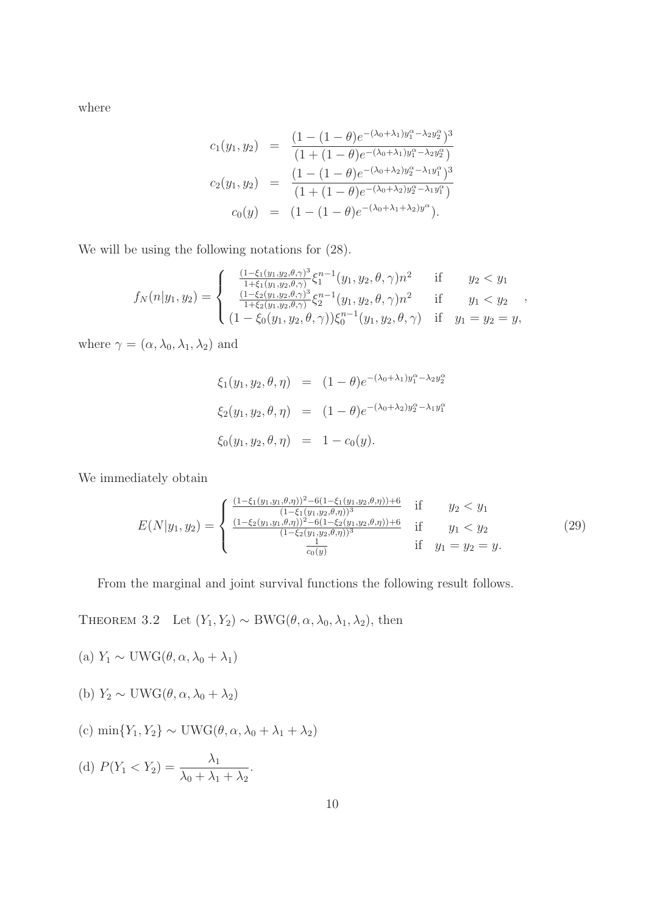where

$$
c_1(y_1, y_2) = \frac{(1 - (1 - \theta)e^{-(\lambda_0 + \lambda_1)y_1^{\alpha} - \lambda_2 y_2^{\alpha}})^3}{(1 + (1 - \theta)e^{-(\lambda_0 + \lambda_1)y_1^{\alpha} - \lambda_2 y_2^{\alpha}})}
$$
  

$$
c_2(y_1, y_2) = \frac{(1 - (1 - \theta)e^{-(\lambda_0 + \lambda_2)y_2^{\alpha} - \lambda_1 y_1^{\alpha}})^3}{(1 + (1 - \theta)e^{-(\lambda_0 + \lambda_2)y_2^{\alpha} - \lambda_1 y_1^{\alpha}})}
$$
  

$$
c_0(y) = (1 - (1 - \theta)e^{-(\lambda_0 + \lambda_1 + \lambda_2)y^{\alpha}}).
$$

We will be using the following notations for (28).

$$
f_N(n|y_1, y_2) = \begin{cases} \frac{(1-\xi_1(y_1, y_2, \theta, \gamma)^3}{1+\xi_1(y_1, y_2, \theta, \gamma)} \xi_1^{n-1}(y_1, y_2, \theta, \gamma) n^2 & \text{if} \quad y_2 < y_1\\ \frac{(1-\xi_2(y_1, y_2, \theta, \gamma)^3}{1+\xi_2(y_1, y_2, \theta, \gamma)} \xi_2^{n-1}(y_1, y_2, \theta, \gamma) n^2 & \text{if} \quad y_1 < y_2\\ (1-\xi_0(y_1, y_2, \theta, \gamma)) \xi_0^{n-1}(y_1, y_2, \theta, \gamma) & \text{if} \quad y_1 = y_2 = y, \end{cases}
$$

where  $\gamma = (\alpha, \lambda_0, \lambda_1, \lambda_2)$  and

$$
\xi_1(y_1, y_2, \theta, \eta) = (1 - \theta)e^{-(\lambda_0 + \lambda_1)y_1^{\alpha} - \lambda_2 y_2^{\alpha}}
$$
  

$$
\xi_2(y_1, y_2, \theta, \eta) = (1 - \theta)e^{-(\lambda_0 + \lambda_2)y_2^{\alpha} - \lambda_1 y_1^{\alpha}}
$$
  

$$
\xi_0(y_1, y_2, \theta, \eta) = 1 - c_0(y).
$$

We immediately obtain

$$
E(N|y_1, y_2) = \begin{cases} \frac{(1-\xi_1(y_1, y_1, \theta, \eta))^2 - 6(1-\xi_1(y_1, y_2, \theta, \eta)) + 6}{(1-\xi_1(y_1, y_2, \theta, \eta))^3} & \text{if} & y_2 < y_1\\ \frac{(1-\xi_2(y_1, y_1, \theta, \eta))^2 - 6(1-\xi_2(y_1, y_2, \theta, \eta)) + 6}{(1-\xi_2(y_1, y_2, \theta, \eta))^3} & \text{if} & y_1 < y_2\\ \frac{1}{c_0(y)} & \text{if} & y_1 = y_2 = y. \end{cases} (29)
$$

From the marginal and joint survival functions the following result follows.

THEOREM 3.2 Let  $(Y_1, Y_2) \sim BWG(\theta, \alpha, \lambda_0, \lambda_1, \lambda_2)$ , then

- (a)  $Y_1 \sim$  UWG( $\theta, \alpha, \lambda_0 + \lambda_1$ )
- (b)  $Y_2 \sim$  UWG( $\theta, \alpha, \lambda_0 + \lambda_2$ )
- (c) min ${Y_1, Y_2} \sim$  UWG( $\theta, \alpha, \lambda_0 + \lambda_1 + \lambda_2$ )

(d) 
$$
P(Y_1 < Y_2) = \frac{\lambda_1}{\lambda_0 + \lambda_1 + \lambda_2}.
$$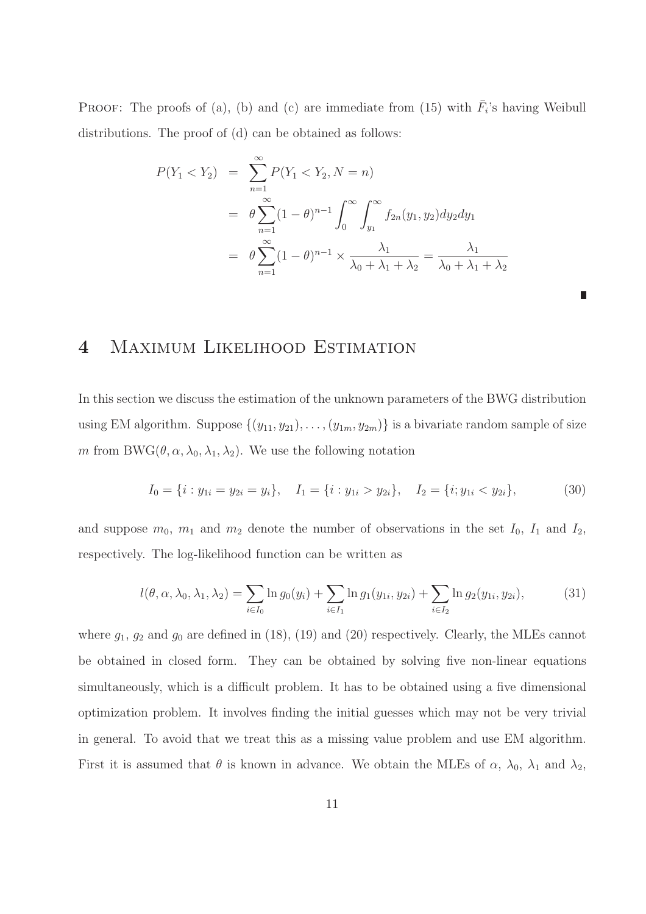**PROOF:** The proofs of (a), (b) and (c) are immediate from (15) with  $\overline{F}_i$ 's having Weibull distributions. The proof of (d) can be obtained as follows:

$$
P(Y_1 < Y_2) = \sum_{n=1}^{\infty} P(Y_1 < Y_2, N = n)
$$
\n
$$
= \theta \sum_{n=1}^{\infty} (1 - \theta)^{n-1} \int_0^{\infty} \int_{y_1}^{\infty} f_{2n}(y_1, y_2) dy_2 dy_1
$$
\n
$$
= \theta \sum_{n=1}^{\infty} (1 - \theta)^{n-1} \times \frac{\lambda_1}{\lambda_0 + \lambda_1 + \lambda_2} = \frac{\lambda_1}{\lambda_0 + \lambda_1 + \lambda_2}
$$

# 4 Maximum Likelihood Estimation

In this section we discuss the estimation of the unknown parameters of the BWG distribution using EM algorithm. Suppose  $\{(y_{11}, y_{21}), \ldots, (y_{1m}, y_{2m})\}$  is a bivariate random sample of size m from BWG( $\theta$ ,  $\alpha$ ,  $\lambda_0$ ,  $\lambda_1$ ,  $\lambda_2$ ). We use the following notation

$$
I_0 = \{i : y_{1i} = y_{2i} = y_i\}, \quad I_1 = \{i : y_{1i} > y_{2i}\}, \quad I_2 = \{i : y_{1i} < y_{2i}\},
$$
(30)

and suppose  $m_0$ ,  $m_1$  and  $m_2$  denote the number of observations in the set  $I_0$ ,  $I_1$  and  $I_2$ , respectively. The log-likelihood function can be written as

$$
l(\theta, \alpha, \lambda_0, \lambda_1, \lambda_2) = \sum_{i \in I_0} \ln g_0(y_i) + \sum_{i \in I_1} \ln g_1(y_{1i}, y_{2i}) + \sum_{i \in I_2} \ln g_2(y_{1i}, y_{2i}),
$$
(31)

where  $g_1, g_2$  and  $g_0$  are defined in (18), (19) and (20) respectively. Clearly, the MLEs cannot be obtained in closed form. They can be obtained by solving five non-linear equations simultaneously, which is a difficult problem. It has to be obtained using a five dimensional optimization problem. It involves finding the initial guesses which may not be very trivial in general. To avoid that we treat this as a missing value problem and use EM algorithm. First it is assumed that  $\theta$  is known in advance. We obtain the MLEs of  $\alpha$ ,  $\lambda_0$ ,  $\lambda_1$  and  $\lambda_2$ ,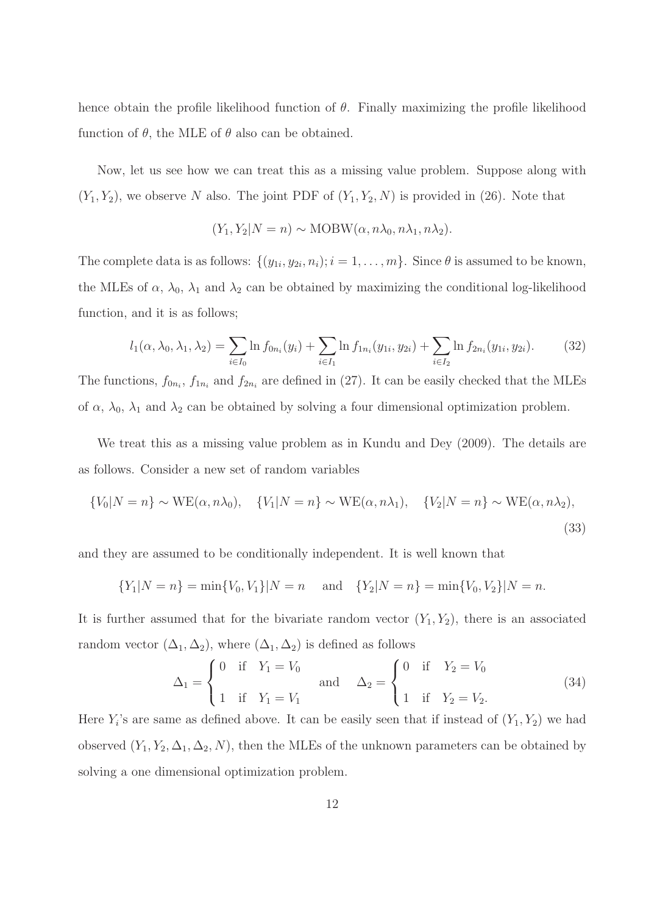hence obtain the profile likelihood function of  $\theta$ . Finally maximizing the profile likelihood function of  $\theta$ , the MLE of  $\theta$  also can be obtained.

Now, let us see how we can treat this as a missing value problem. Suppose along with  $(Y_1, Y_2)$ , we observe N also. The joint PDF of  $(Y_1, Y_2, N)$  is provided in (26). Note that

$$
(Y_1, Y_2 | N = n) \sim \text{MOBW}(\alpha, n\lambda_0, n\lambda_1, n\lambda_2).
$$

The complete data is as follows:  $\{(y_{1i}, y_{2i}, n_i); i = 1, \ldots, m\}$ . Since  $\theta$  is assumed to be known, the MLEs of  $\alpha$ ,  $\lambda_0$ ,  $\lambda_1$  and  $\lambda_2$  can be obtained by maximizing the conditional log-likelihood function, and it is as follows;

$$
l_1(\alpha, \lambda_0, \lambda_1, \lambda_2) = \sum_{i \in I_0} \ln f_{0n_i}(y_i) + \sum_{i \in I_1} \ln f_{1n_i}(y_{1i}, y_{2i}) + \sum_{i \in I_2} \ln f_{2n_i}(y_{1i}, y_{2i}).
$$
 (32)

The functions,  $f_{0n_i}$ ,  $f_{1n_i}$  and  $f_{2n_i}$  are defined in (27). It can be easily checked that the MLEs of  $\alpha$ ,  $\lambda_0$ ,  $\lambda_1$  and  $\lambda_2$  can be obtained by solving a four dimensional optimization problem.

We treat this as a missing value problem as in Kundu and Dey (2009). The details are as follows. Consider a new set of random variables

$$
\{V_0|N=n\} \sim \text{WE}(\alpha, n\lambda_0), \quad \{V_1|N=n\} \sim \text{WE}(\alpha, n\lambda_1), \quad \{V_2|N=n\} \sim \text{WE}(\alpha, n\lambda_2),
$$
\n(33)

and they are assumed to be conditionally independent. It is well known that

$$
{Y_1|N = n} = min{V_0, V_1|N = n \text{ and } {Y_2|N = n} = min{V_0, V_2|N = n}.
$$

It is further assumed that for the bivariate random vector  $(Y_1, Y_2)$ , there is an associated random vector  $(\Delta_1, \Delta_2)$ , where  $(\Delta_1, \Delta_2)$  is defined as follows

$$
\Delta_1 = \begin{cases} 0 & \text{if } Y_1 = V_0 \\ 1 & \text{if } Y_1 = V_1 \end{cases} \quad \text{and} \quad \Delta_2 = \begin{cases} 0 & \text{if } Y_2 = V_0 \\ 1 & \text{if } Y_2 = V_2. \end{cases} \tag{34}
$$

Here  $Y_i$ 's are same as defined above. It can be easily seen that if instead of  $(Y_1, Y_2)$  we had observed  $(Y_1, Y_2, \Delta_1, \Delta_2, N)$ , then the MLEs of the unknown parameters can be obtained by solving a one dimensional optimization problem.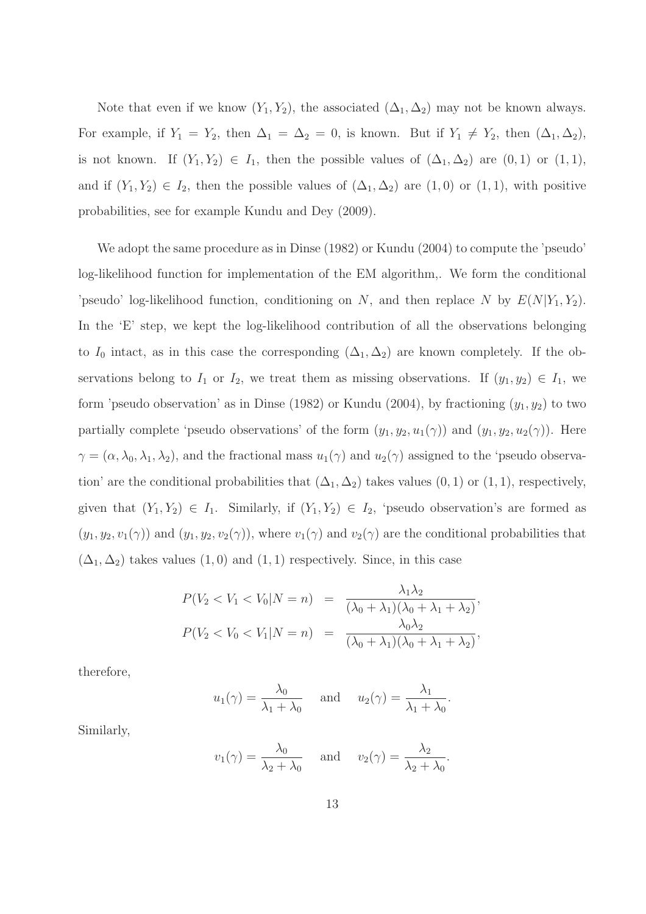Note that even if we know  $(Y_1, Y_2)$ , the associated  $(\Delta_1, \Delta_2)$  may not be known always. For example, if  $Y_1 = Y_2$ , then  $\Delta_1 = \Delta_2 = 0$ , is known. But if  $Y_1 \neq Y_2$ , then  $(\Delta_1, \Delta_2)$ , is not known. If  $(Y_1, Y_2) \in I_1$ , then the possible values of  $(\Delta_1, \Delta_2)$  are  $(0, 1)$  or  $(1, 1)$ , and if  $(Y_1, Y_2) \in I_2$ , then the possible values of  $(\Delta_1, \Delta_2)$  are  $(1, 0)$  or  $(1, 1)$ , with positive probabilities, see for example Kundu and Dey (2009).

We adopt the same procedure as in Dinse (1982) or Kundu (2004) to compute the 'pseudo' log-likelihood function for implementation of the EM algorithm,. We form the conditional 'pseudo' log-likelihood function, conditioning on N, and then replace N by  $E(N|Y_1, Y_2)$ . In the 'E' step, we kept the log-likelihood contribution of all the observations belonging to  $I_0$  intact, as in this case the corresponding  $(\Delta_1, \Delta_2)$  are known completely. If the observations belong to  $I_1$  or  $I_2$ , we treat them as missing observations. If  $(y_1, y_2) \in I_1$ , we form 'pseudo observation' as in Dinse (1982) or Kundu (2004), by fractioning  $(y_1, y_2)$  to two partially complete 'pseudo observations' of the form  $(y_1, y_2, u_1(\gamma))$  and  $(y_1, y_2, u_2(\gamma))$ . Here  $\gamma = (\alpha, \lambda_0, \lambda_1, \lambda_2)$ , and the fractional mass  $u_1(\gamma)$  and  $u_2(\gamma)$  assigned to the 'pseudo observation' are the conditional probabilities that  $(\Delta_1, \Delta_2)$  takes values  $(0, 1)$  or  $(1, 1)$ , respectively, given that  $(Y_1, Y_2) \in I_1$ . Similarly, if  $(Y_1, Y_2) \in I_2$ , 'pseudo observation's are formed as  $(y_1, y_2, v_1(\gamma))$  and  $(y_1, y_2, v_2(\gamma))$ , where  $v_1(\gamma)$  and  $v_2(\gamma)$  are the conditional probabilities that  $(\Delta_1, \Delta_2)$  takes values  $(1, 0)$  and  $(1, 1)$  respectively. Since, in this case

$$
P(V_2 < V_1 < V_0 | N = n) = \frac{\lambda_1 \lambda_2}{(\lambda_0 + \lambda_1)(\lambda_0 + \lambda_1 + \lambda_2)},
$$
\n
$$
P(V_2 < V_0 < V_1 | N = n) = \frac{\lambda_0 \lambda_2}{(\lambda_0 + \lambda_1)(\lambda_0 + \lambda_1 + \lambda_2)},
$$

therefore,

$$
u_1(\gamma) = \frac{\lambda_0}{\lambda_1 + \lambda_0}
$$
 and  $u_2(\gamma) = \frac{\lambda_1}{\lambda_1 + \lambda_0}$ .

Similarly,

$$
v_1(\gamma) = \frac{\lambda_0}{\lambda_2 + \lambda_0}
$$
 and  $v_2(\gamma) = \frac{\lambda_2}{\lambda_2 + \lambda_0}$ .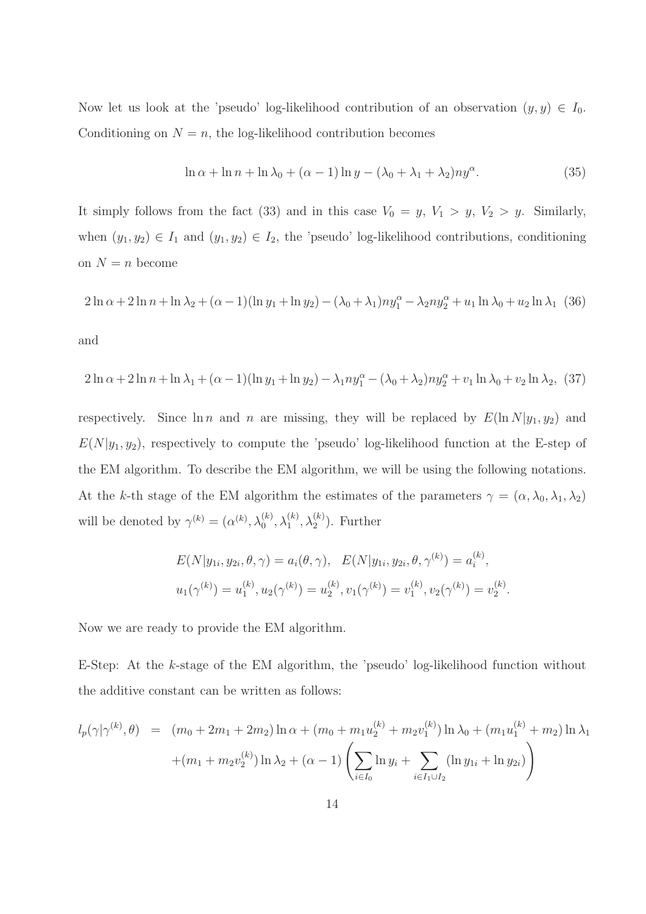Now let us look at the 'pseudo' log-likelihood contribution of an observation  $(y, y) \in I_0$ . Conditioning on  $N = n$ , the log-likelihood contribution becomes

$$
\ln \alpha + \ln n + \ln \lambda_0 + (\alpha - 1) \ln y - (\lambda_0 + \lambda_1 + \lambda_2) n y^{\alpha}.
$$
 (35)

It simply follows from the fact (33) and in this case  $V_0 = y$ ,  $V_1 > y$ ,  $V_2 > y$ . Similarly, when  $(y_1, y_2) \in I_1$  and  $(y_1, y_2) \in I_2$ , the 'pseudo' log-likelihood contributions, conditioning on  $N = n$  become

$$
2\ln \alpha + 2\ln n + \ln \lambda_2 + (\alpha - 1)(\ln y_1 + \ln y_2) - (\lambda_0 + \lambda_1)ny_1^{\alpha} - \lambda_2ny_2^{\alpha} + u_1\ln \lambda_0 + u_2\ln \lambda_1
$$
 (36)

and

$$
2\ln \alpha + 2\ln n + \ln \lambda_1 + (\alpha - 1)(\ln y_1 + \ln y_2) - \lambda_1 n y_1^{\alpha} - (\lambda_0 + \lambda_2) n y_2^{\alpha} + v_1 \ln \lambda_0 + v_2 \ln \lambda_2, (37)
$$

respectively. Since  $\ln n$  and n are missing, they will be replaced by  $E(\ln N|y_1, y_2)$  and  $E(N|y_1, y_2)$ , respectively to compute the 'pseudo' log-likelihood function at the E-step of the EM algorithm. To describe the EM algorithm, we will be using the following notations. At the k-th stage of the EM algorithm the estimates of the parameters  $\gamma = (\alpha, \lambda_0, \lambda_1, \lambda_2)$ will be denoted by  $\gamma^{(k)} = (\alpha^{(k)}, \lambda_0^{(k)}, \lambda_1^{(k)}, \lambda_2^{(k)})$ . Further

$$
E(N|y_{1i}, y_{2i}, \theta, \gamma) = a_i(\theta, \gamma), \quad E(N|y_{1i}, y_{2i}, \theta, \gamma^{(k)}) = a_i^{(k)},
$$
  

$$
u_1(\gamma^{(k)}) = u_1^{(k)}, u_2(\gamma^{(k)}) = u_2^{(k)}, v_1(\gamma^{(k)}) = v_1^{(k)}, v_2(\gamma^{(k)}) = v_2^{(k)}.
$$

Now we are ready to provide the EM algorithm.

E-Step: At the k-stage of the EM algorithm, the 'pseudo' log-likelihood function without the additive constant can be written as follows:

$$
l_p(\gamma|\gamma^{(k)},\theta) = (m_0 + 2m_1 + 2m_2) \ln \alpha + (m_0 + m_1 u_2^{(k)} + m_2 v_1^{(k)}) \ln \lambda_0 + (m_1 u_1^{(k)} + m_2) \ln \lambda_1 + (m_1 + m_2 v_2^{(k)}) \ln \lambda_2 + (\alpha - 1) \left( \sum_{i \in I_0} \ln y_i + \sum_{i \in I_1 \cup I_2} (\ln y_{1i} + \ln y_{2i}) \right)
$$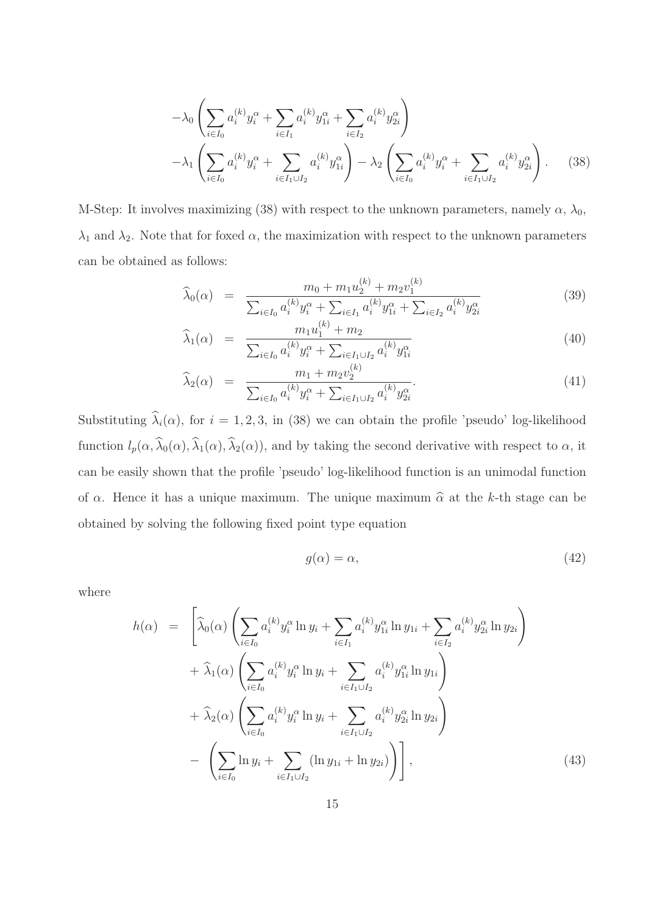$$
-\lambda_0 \left( \sum_{i \in I_0} a_i^{(k)} y_i^{\alpha} + \sum_{i \in I_1} a_i^{(k)} y_{1i}^{\alpha} + \sum_{i \in I_2} a_i^{(k)} y_{2i}^{\alpha} \right) -\lambda_1 \left( \sum_{i \in I_0} a_i^{(k)} y_i^{\alpha} + \sum_{i \in I_1 \cup I_2} a_i^{(k)} y_{1i}^{\alpha} \right) - \lambda_2 \left( \sum_{i \in I_0} a_i^{(k)} y_i^{\alpha} + \sum_{i \in I_1 \cup I_2} a_i^{(k)} y_{2i}^{\alpha} \right).
$$
 (38)

M-Step: It involves maximizing (38) with respect to the unknown parameters, namely  $\alpha$ ,  $\lambda_0$ ,  $\lambda_1$  and  $\lambda_2$ . Note that for foxed  $\alpha$ , the maximization with respect to the unknown parameters can be obtained as follows:

$$
\widehat{\lambda}_{0}(\alpha) = \frac{m_{0} + m_{1}u_{2}^{(k)} + m_{2}v_{1}^{(k)}}{\sum_{i \in I_{0}} a_{i}^{(k)}y_{i}^{\alpha} + \sum_{i \in I_{1}} a_{i}^{(k)}y_{1i}^{\alpha} + \sum_{i \in I_{2}} a_{i}^{(k)}y_{2i}^{\alpha}}
$$
\n(39)

$$
\widehat{\lambda}_{1}(\alpha) = \frac{m_{1}u_{1}^{(k)} + m_{2}}{\sum_{i \in I_{0}} a_{i}^{(k)}y_{i}^{\alpha} + \sum_{i \in I_{1} \cup I_{2}} a_{i}^{(k)}y_{1i}^{\alpha}}
$$
\n(40)

$$
\widehat{\lambda}_{2}(\alpha) = \frac{m_{1} + m_{2}v_{2}^{(k)}}{\sum_{i \in I_{0}} a_{i}^{(k)}y_{i}^{\alpha} + \sum_{i \in I_{1} \cup I_{2}} a_{i}^{(k)}y_{2i}^{\alpha}}.
$$
\n(41)

Substituting  $\hat{\lambda}_i(\alpha)$ , for  $i = 1, 2, 3$ , in (38) we can obtain the profile 'pseudo' log-likelihood function  $l_p(\alpha, \widehat{\lambda}_0(\alpha), \widehat{\lambda}_1(\alpha), \widehat{\lambda}_2(\alpha))$ , and by taking the second derivative with respect to  $\alpha$ , it can be easily shown that the profile 'pseudo' log-likelihood function is an unimodal function of  $\alpha$ . Hence it has a unique maximum. The unique maximum  $\hat{\alpha}$  at the k-th stage can be obtained by solving the following fixed point type equation

$$
g(\alpha) = \alpha,\tag{42}
$$

where

$$
h(\alpha) = \left[ \widehat{\lambda}_{0}(\alpha) \left( \sum_{i \in I_{0}} a_{i}^{(k)} y_{i}^{\alpha} \ln y_{i} + \sum_{i \in I_{1}} a_{i}^{(k)} y_{1i}^{\alpha} \ln y_{1i} + \sum_{i \in I_{2}} a_{i}^{(k)} y_{2i}^{\alpha} \ln y_{2i} \right) + \widehat{\lambda}_{1}(\alpha) \left( \sum_{i \in I_{0}} a_{i}^{(k)} y_{i}^{\alpha} \ln y_{i} + \sum_{i \in I_{1} \cup I_{2}} a_{i}^{(k)} y_{1i}^{\alpha} \ln y_{1i} \right) + \widehat{\lambda}_{2}(\alpha) \left( \sum_{i \in I_{0}} a_{i}^{(k)} y_{i}^{\alpha} \ln y_{i} + \sum_{i \in I_{1} \cup I_{2}} a_{i}^{(k)} y_{2i}^{\alpha} \ln y_{2i} \right) - \left( \sum_{i \in I_{0}} \ln y_{i} + \sum_{i \in I_{1} \cup I_{2}} (\ln y_{1i} + \ln y_{2i}) \right) \right], \tag{43}
$$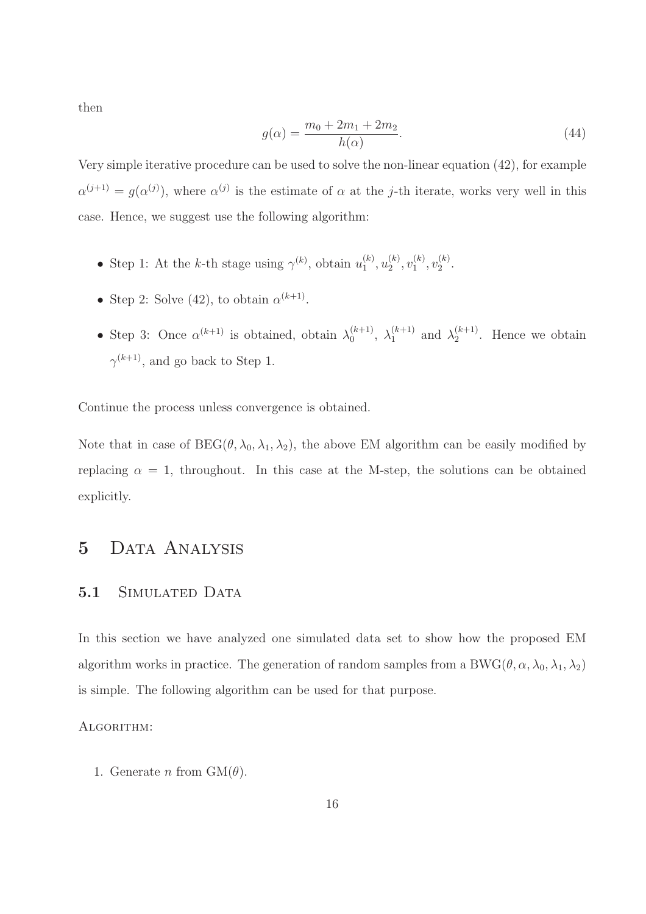then

$$
g(\alpha) = \frac{m_0 + 2m_1 + 2m_2}{h(\alpha)}.
$$
\n(44)

Very simple iterative procedure can be used to solve the non-linear equation (42), for example  $\alpha^{(j+1)} = g(\alpha^{(j)})$ , where  $\alpha^{(j)}$  is the estimate of  $\alpha$  at the j-th iterate, works very well in this case. Hence, we suggest use the following algorithm:

- Step 1: At the k-th stage using  $\gamma^{(k)}$ , obtain  $u_1^{(k)}$  $\binom{k}{1}, u_2^{(k)}$  $\binom{k}{2}, \upsilon_1^{(k)}$  $\binom{k}{1}, \upsilon_2^{(k)}$  $\frac{1}{2}$ .
- Step 2: Solve (42), to obtain  $\alpha^{(k+1)}$ .
- Step 3: Once  $\alpha^{(k+1)}$  is obtained, obtain  $\lambda_0^{(k+1)}$  $\lambda_0^{(k+1)}, \lambda_1^{(k+1)}$  $\lambda_1^{(k+1)}$  and  $\lambda_2^{(k+1)}$  $2^{(\kappa+1)}$ . Hence we obtain  $\gamma^{(k+1)}$ , and go back to Step 1.

Continue the process unless convergence is obtained.

Note that in case of  $BEG(\theta, \lambda_0, \lambda_1, \lambda_2)$ , the above EM algorithm can be easily modified by replacing  $\alpha = 1$ , throughout. In this case at the M-step, the solutions can be obtained explicitly.

### 5 Data Analysis

### 5.1 SIMULATED DATA

In this section we have analyzed one simulated data set to show how the proposed EM algorithm works in practice. The generation of random samples from a BWG( $\theta$ ,  $\alpha$ ,  $\lambda_0$ ,  $\lambda_1$ ,  $\lambda_2$ ) is simple. The following algorithm can be used for that purpose.

#### Algorithm:

1. Generate n from  $GM(\theta)$ .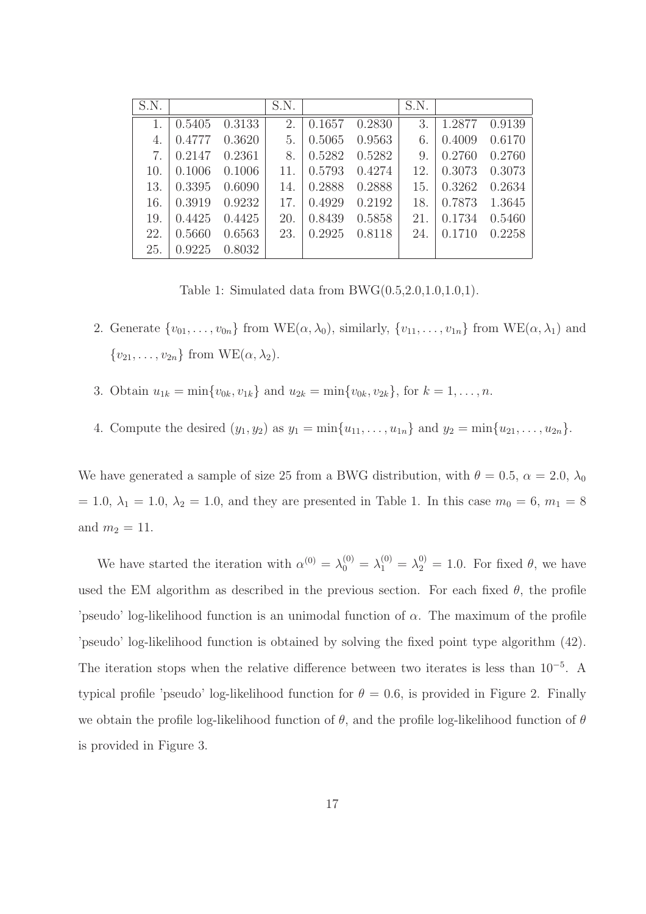| S.N. |        |        | S.N. |        |        | S.N. |        |        |
|------|--------|--------|------|--------|--------|------|--------|--------|
|      | 0.5405 | 0.3133 | 2.   | 0.1657 | 0.2830 | 3    | 1.2877 | 0.9139 |
| 4.   | 0.4777 | 0.3620 | 5.   | 0.5065 | 0.9563 | 6.   | 0.4009 | 0.6170 |
| 7.   | 0.2147 | 0.2361 | 8.   | 0.5282 | 0.5282 | 9.   | 0.2760 | 0.2760 |
| 10.  | 0.1006 | 0.1006 | 11.  | 0.5793 | 0.4274 | 12.  | 0.3073 | 0.3073 |
| 13.  | 0.3395 | 0.6090 | 14.  | 0.2888 | 0.2888 | 15.  | 0.3262 | 0.2634 |
| 16.  | 0.3919 | 0.9232 | 17.  | 0.4929 | 0.2192 | 18.  | 0.7873 | 1.3645 |
| 19.  | 0.4425 | 0.4425 | 20.  | 0.8439 | 0.5858 | 21.  | 0.1734 | 0.5460 |
| 22.  | 0.5660 | 0.6563 | 23.  | 0.2925 | 0.8118 | 24.  | 0.1710 | 0.2258 |
| 25.  | 0.9225 | 0.8032 |      |        |        |      |        |        |

Table 1: Simulated data from  $BWG(0.5, 2.0, 1.0, 1.0, 1)$ .

- 2. Generate  $\{v_{01}, \ldots, v_{0n}\}$  from WE( $\alpha, \lambda_0$ ), similarly,  $\{v_{11}, \ldots, v_{1n}\}$  from WE( $\alpha, \lambda_1$ ) and  ${v_{21}, \ldots, v_{2n}}$  from  $WE(\alpha, \lambda_2)$ .
- 3. Obtain  $u_{1k} = \min\{v_{0k}, v_{1k}\}\$ and  $u_{2k} = \min\{v_{0k}, v_{2k}\}\$ , for  $k = 1, \ldots, n$ .
- 4. Compute the desired  $(y_1, y_2)$  as  $y_1 = \min\{u_{11}, \ldots, u_{1n}\}\$  and  $y_2 = \min\{u_{21}, \ldots, u_{2n}\}\$ .

We have generated a sample of size 25 from a BWG distribution, with  $\theta = 0.5$ ,  $\alpha = 2.0$ ,  $\lambda_0$ = 1.0,  $\lambda_1$  = 1.0,  $\lambda_2$  = 1.0, and they are presented in Table 1. In this case  $m_0 = 6$ ,  $m_1 = 8$ and  $m_2 = 11$ .

We have started the iteration with  $\alpha^{(0)} = \lambda_0^{(0)} = \lambda_1^{(0)} = \lambda_2^{(0)} = 1.0$ . For fixed  $\theta$ , we have used the EM algorithm as described in the previous section. For each fixed  $\theta$ , the profile 'pseudo' log-likelihood function is an unimodal function of  $\alpha$ . The maximum of the profile 'pseudo' log-likelihood function is obtained by solving the fixed point type algorithm (42). The iteration stops when the relative difference between two iterates is less than 10<sup>−</sup><sup>5</sup> . A typical profile 'pseudo' log-likelihood function for  $\theta = 0.6$ , is provided in Figure 2. Finally we obtain the profile log-likelihood function of  $\theta$ , and the profile log-likelihood function of  $\theta$ is provided in Figure 3.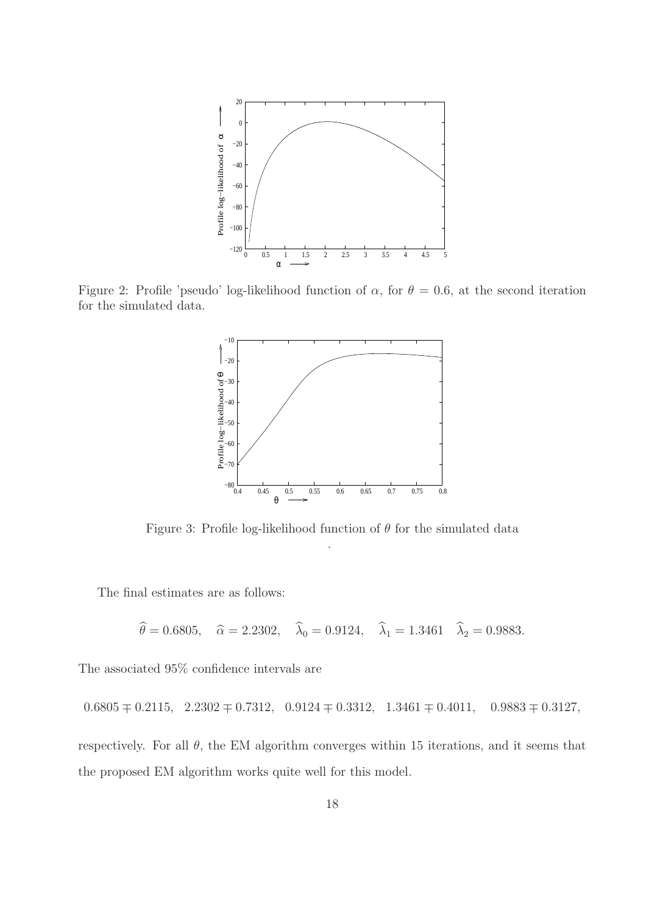

Figure 2: Profile 'pseudo' log-likelihood function of  $\alpha$ , for  $\theta = 0.6$ , at the second iteration for the simulated data.



Figure 3: Profile log-likelihood function of  $\theta$  for the simulated data .

The final estimates are as follows:

$$
\hat{\theta} = 0.6805
$$
,  $\hat{\alpha} = 2.2302$ ,  $\hat{\lambda}_0 = 0.9124$ ,  $\hat{\lambda}_1 = 1.3461$   $\hat{\lambda}_2 = 0.9883$ .

The associated 95% confidence intervals are

$$
0.6805 \pm 0.2115
$$
,  $2.2302 \pm 0.7312$ ,  $0.9124 \pm 0.3312$ ,  $1.3461 \pm 0.4011$ ,  $0.9883 \pm 0.3127$ ,

respectively. For all  $\theta$ , the EM algorithm converges within 15 iterations, and it seems that the proposed EM algorithm works quite well for this model.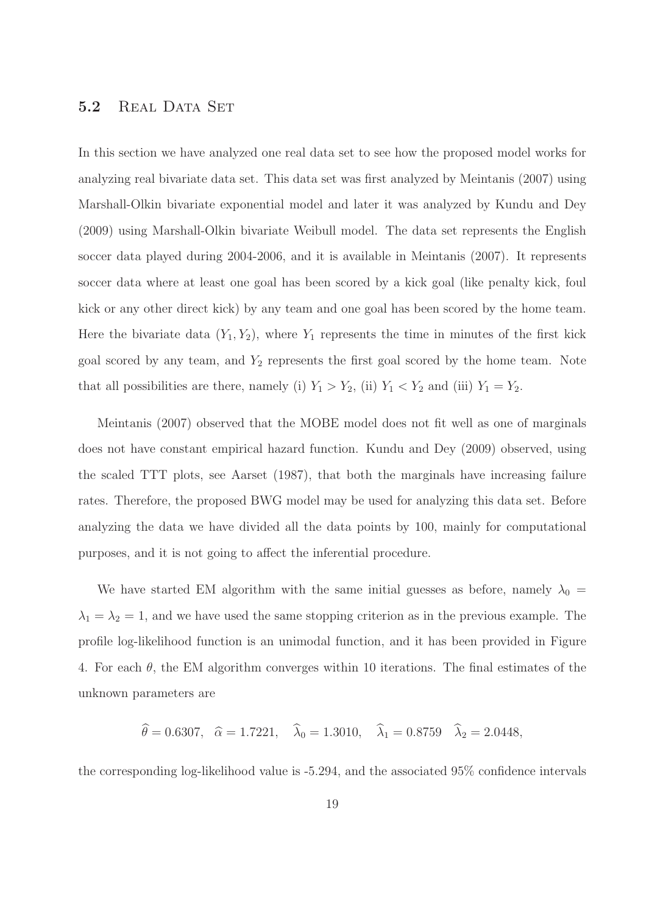#### 5.2 REAL DATA SET

In this section we have analyzed one real data set to see how the proposed model works for analyzing real bivariate data set. This data set was first analyzed by Meintanis (2007) using Marshall-Olkin bivariate exponential model and later it was analyzed by Kundu and Dey (2009) using Marshall-Olkin bivariate Weibull model. The data set represents the English soccer data played during 2004-2006, and it is available in Meintanis (2007). It represents soccer data where at least one goal has been scored by a kick goal (like penalty kick, foul kick or any other direct kick) by any team and one goal has been scored by the home team. Here the bivariate data  $(Y_1, Y_2)$ , where  $Y_1$  represents the time in minutes of the first kick goal scored by any team, and  $Y_2$  represents the first goal scored by the home team. Note that all possibilities are there, namely (i)  $Y_1 > Y_2$ , (ii)  $Y_1 < Y_2$  and (iii)  $Y_1 = Y_2$ .

Meintanis (2007) observed that the MOBE model does not fit well as one of marginals does not have constant empirical hazard function. Kundu and Dey (2009) observed, using the scaled TTT plots, see Aarset (1987), that both the marginals have increasing failure rates. Therefore, the proposed BWG model may be used for analyzing this data set. Before analyzing the data we have divided all the data points by 100, mainly for computational purposes, and it is not going to affect the inferential procedure.

We have started EM algorithm with the same initial guesses as before, namely  $\lambda_0 =$  $\lambda_1 = \lambda_2 = 1$ , and we have used the same stopping criterion as in the previous example. The profile log-likelihood function is an unimodal function, and it has been provided in Figure 4. For each  $\theta$ , the EM algorithm converges within 10 iterations. The final estimates of the unknown parameters are

$$
\hat{\theta} = 0.6307, \quad \hat{\alpha} = 1.7221, \quad \hat{\lambda}_0 = 1.3010, \quad \hat{\lambda}_1 = 0.8759 \quad \hat{\lambda}_2 = 2.0448,
$$

the corresponding log-likelihood value is -5.294, and the associated 95% confidence intervals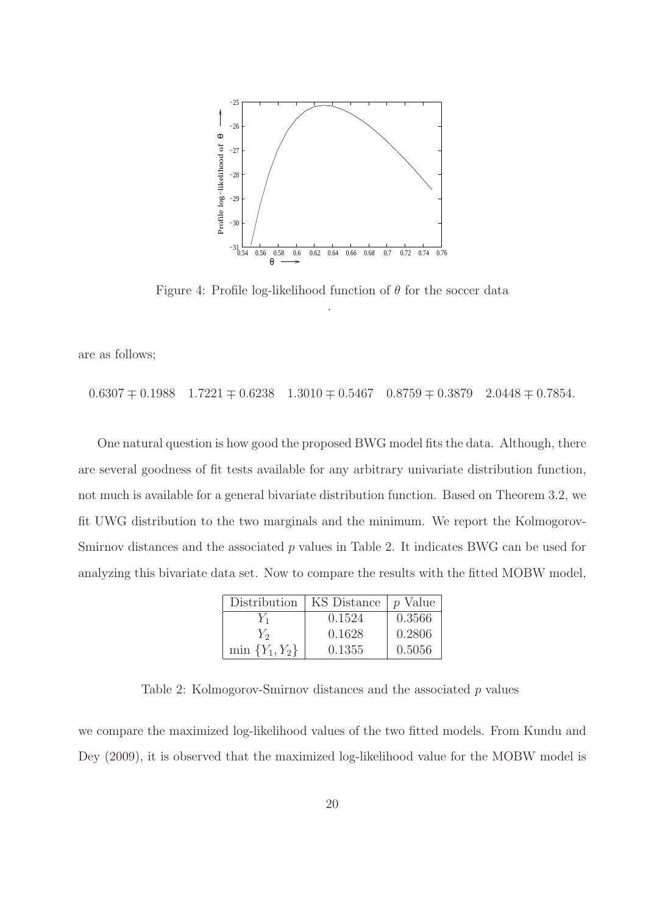

Figure 4: Profile log-likelihood function of  $\theta$  for the soccer data .

are as follows;

 $0.6307 \pm 0.1988$   $1.7221 \pm 0.6238$   $1.3010 \pm 0.5467$   $0.8759 \pm 0.3879$   $2.0448 \pm 0.7854$ .

One natural question is how good the proposed BWG model fits the data. Although, there are several goodness of fit tests available for any arbitrary univariate distribution function, not much is available for a general bivariate distribution function. Based on Theorem 3.2, we fit UWG distribution to the two marginals and the minimum. We report the Kolmogorov-Smirnov distances and the associated  $p$  values in Table 2. It indicates BWG can be used for analyzing this bivariate data set. Now to compare the results with the fitted MOBW model,

| Distribution        | KS Distance | <i>p</i> Value |
|---------------------|-------------|----------------|
| Y1                  | 0.1524      | 0.3566         |
| $Y_{2}$             | 0.1628      | 0.2806         |
| $\min \{Y_1, Y_2\}$ | 0.1355      | 0.5056         |

Table 2: Kolmogorov-Smirnov distances and the associated p values

we compare the maximized log-likelihood values of the two fitted models. From Kundu and Dey (2009), it is observed that the maximized log-likelihood value for the MOBW model is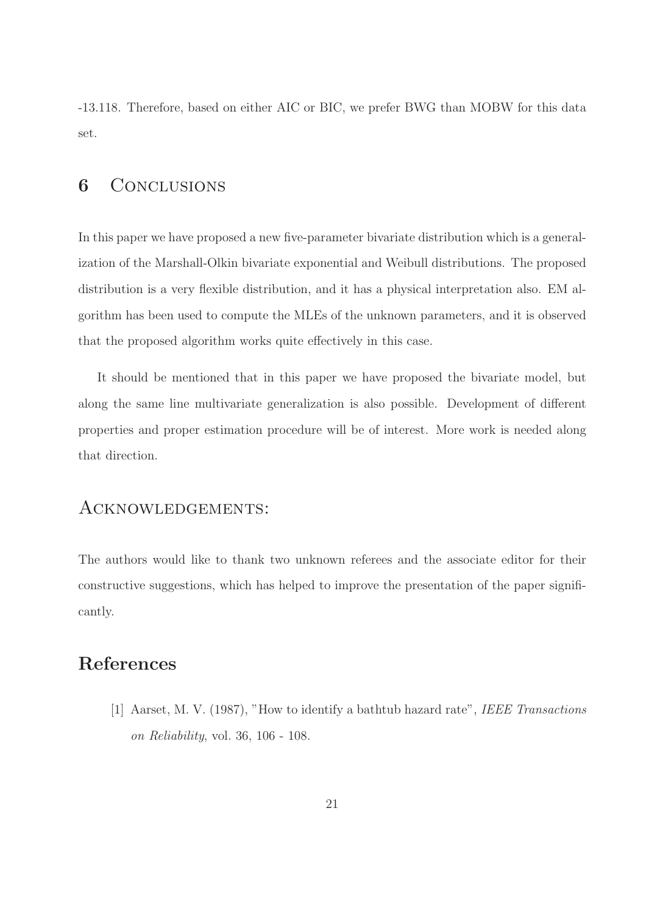-13.118. Therefore, based on either AIC or BIC, we prefer BWG than MOBW for this data set.

### 6 Conclusions

In this paper we have proposed a new five-parameter bivariate distribution which is a generalization of the Marshall-Olkin bivariate exponential and Weibull distributions. The proposed distribution is a very flexible distribution, and it has a physical interpretation also. EM algorithm has been used to compute the MLEs of the unknown parameters, and it is observed that the proposed algorithm works quite effectively in this case.

It should be mentioned that in this paper we have proposed the bivariate model, but along the same line multivariate generalization is also possible. Development of different properties and proper estimation procedure will be of interest. More work is needed along that direction.

### Acknowledgements:

The authors would like to thank two unknown referees and the associate editor for their constructive suggestions, which has helped to improve the presentation of the paper significantly.

# References

[1] Aarset, M. V. (1987), "How to identify a bathtub hazard rate", IEEE Transactions on Reliability, vol. 36, 106 - 108.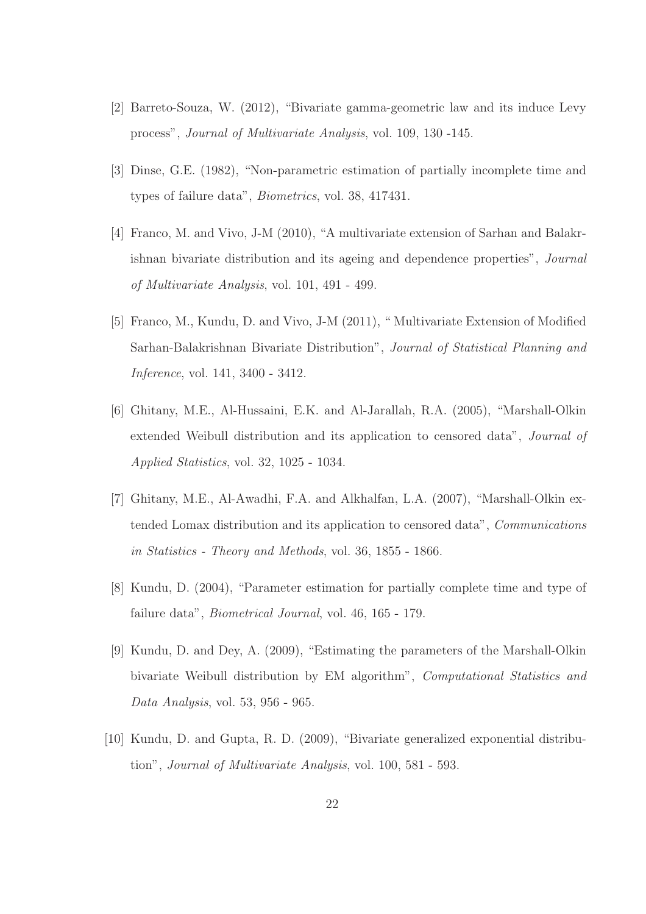- [2] Barreto-Souza, W. (2012), "Bivariate gamma-geometric law and its induce Levy process", Journal of Multivariate Analysis, vol. 109, 130 -145.
- [3] Dinse, G.E. (1982), "Non-parametric estimation of partially incomplete time and types of failure data", Biometrics, vol. 38, 417431.
- [4] Franco, M. and Vivo, J-M (2010), "A multivariate extension of Sarhan and Balakrishnan bivariate distribution and its ageing and dependence properties", Journal of Multivariate Analysis, vol. 101, 491 - 499.
- [5] Franco, M., Kundu, D. and Vivo, J-M (2011), " Multivariate Extension of Modified Sarhan-Balakrishnan Bivariate Distribution", Journal of Statistical Planning and Inference, vol. 141, 3400 - 3412.
- [6] Ghitany, M.E., Al-Hussaini, E.K. and Al-Jarallah, R.A. (2005), "Marshall-Olkin extended Weibull distribution and its application to censored data", Journal of Applied Statistics, vol. 32, 1025 - 1034.
- [7] Ghitany, M.E., Al-Awadhi, F.A. and Alkhalfan, L.A. (2007), "Marshall-Olkin extended Lomax distribution and its application to censored data", Communications in Statistics - Theory and Methods, vol. 36, 1855 - 1866.
- [8] Kundu, D. (2004), "Parameter estimation for partially complete time and type of failure data", Biometrical Journal, vol. 46, 165 - 179.
- [9] Kundu, D. and Dey, A. (2009), "Estimating the parameters of the Marshall-Olkin bivariate Weibull distribution by EM algorithm", Computational Statistics and Data Analysis, vol. 53, 956 - 965.
- [10] Kundu, D. and Gupta, R. D. (2009), "Bivariate generalized exponential distribution", Journal of Multivariate Analysis, vol. 100, 581 - 593.